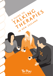

A GUIDE TO.

GUIDE TO NOIES

IN NEW ZEALAND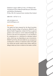Published in August 2009 by Te Pou o Te Whakaaro Nui The National Centre of Mental Health Research, Information and Workforce Development.

PO Box 108-244, Symonds Street, Auckland, New Zealand

ISBN 978-1-877537-51-6.

web www.tepou.co.nz email info@tepou.co.nz

#### Disclaimer

This guide has been prepared by the Royal Australian and New Zealand College of Psychiatrists (RANZCP) and Mental Health Programmes Limited (Te Pou) as general guidance and is based on current medical knowledge and practice at the time of its preparation. It is not intended to be comprehensive or a substitute for individual medical advice, which may vary depending on your circumstances. RANZCP and Te Pou will not be liable for any consequences resulting from a reliance on statements made in this guide. You should seek specific medical advice before taking (or failing to take) any action in relation to the matters covered.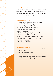#### Acknowledgements

Many organisations and individuals were involved in the development of this guide. This included the National Association of Mental Health Service Consumer Advisors. We thank them all for generously giving their time.

#### Project steering group

The Mental Health Professional Liaison Committee: Suzette Gisler (Te Ao Maramatanga: The New Zealand College of Mental Health Nurses) Ann Connell (The New Zealand College of Clinical Psychologists – NZCCP) Nigel Fairley (NZCCP) Dr Elisabeth Harding (The Royal New Zealand College of General Practitioners) Dr Clive Bensemann, (The Royal Australian and New Zealand College of Psychiatrists – RANZCP) Dr Jo Thornton (RANZCP) Dr Rosie Edwards (RANZCP)

#### RANZCP project team

A GUIDE TO THERAPIES

Audrey Holmes (Manager, New Zealand National Office) Ange Wadsworth (Policy project officer, New Zealand National Office)

With thanks to Caroline Greig (Executive Director, NZCCP) for providing additional project support.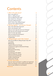# **Contents**

| 1. What's this guide about?                              | 3              |
|----------------------------------------------------------|----------------|
| Who is this guide for?                                   | 3              |
| What is a talking therapy?                               | 3              |
| Who do talking therapies help?                           | $\overline{4}$ |
| Why should I see a therapist?                            | 5              |
| Who gives talking therapies?                             | 7              |
| What's it like to have talking therapy?                  | 8              |
| How do I find a talking therapist?                       | 8              |
| 2. Working together – you and your therapist             | 13             |
| Why is the relationship important?                       | 14             |
| What is the therapist's role?                            | 14             |
| What can I do to get the most out of therapy?            | 15             |
| Will I have the same therapist each session?             | 16             |
| What if we don't get along?                              | 17             |
| What are professional boundaries?                        | 17             |
| Tips for your first session                              | 19             |
| Confidentiality                                          | 19             |
| 3. Talking therapies used in New Zealand                 | 21             |
| What do the different talking therapies help with?       | 22             |
| Counselling                                              | 25             |
| Bibliotherapy                                            | 29             |
| Cognitive behaviourial therapy                           | 32             |
| Computerised cognitive behaviourial therapy              | 36             |
| Family therapy                                           | 39             |
| <b>Motivational interviewing</b>                         | 44             |
| Psychotherapy                                            | 49             |
| Psychotherapy with children                              | 53             |
| Dialectical behaviour therapy                            | 58             |
| Interpersonal psychotherapy                              | 62             |
| Problem solving therapy                                  | 65             |
| Multisystemic therapy                                    | 69             |
| 4. Further information                                   | 75             |
| How do I check my therapist is qualified and registered? | 75             |
| What if my therapist crosses professional boundaries?    | 77             |
| How do I give feedback on my therapist?                  | 77             |
| <b>References</b>                                        | 79             |
|                                                          |                |

page 1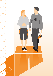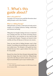# 1. What's this guide about?

# Who is this guide for?

This guide is for everyone who would like information about talking therapies used in New Zealand.

# What is a talking therapy?

Talking therapies can help us understand and make positive changes to our thinking, behaviour, feelings, relationships and emotional well-being.<sup>1</sup>

Talking about our thoughts, feelings and issues is an important way of dealing with them. Our friends and family/whanau can often help us, but sometimes we may need the help of a professional therapist. Therapists are trained to listen carefully and they will help you to find your own answers.

There are many kinds of talking therapies used in New Zealand. Counselling and psychotherapy are probably the most widely known. The therapies in this guide have been included because there is good evidence that they work for many people.

Research has shown that these therapies help people bring about the changes they want in their lives. Talking therapy may be the only help you need to resolve your issues or it may be recommended as part of your treatment plan.

<sup>1 –</sup> Te Pou, 2007; Mental Health Foundation UK, 2009; National Health Service Scotland, 2008;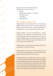This guide uses the term talking therapies. Talking therapies are also known as:

- therapy
- psychological therapies or treatments
- talking treatments
- counselling

PAGE A

• psychotherapies.

#### Who do talking therapies help?

Talking therapies can help people who are distressed by difficult events from the past or present, people with diagnosed mental health issues and their family/whanau, and people who want to understand themselves better.

Talking therapies can help with depression, anxiety, obsessions, panic, phobias and relationship issues. They can help with grief and other emotions such as anger or shame. Talking therapies can help with chronic physical conditions, alcohol, smoking, drug and gambling issues, and with complex mental health issues.

Talking therapies can help with issues affecting children and young people, and families/whanau.

Talking therapies are often used with medication to treat issues, and for some people this can be more effective than either treatment would be if used on its own.

The talking therapies in this guide have mostly been developed in the UK, Europe and the United States. There are kaupapa Maori talking therapy approaches, and these may be available in your area. Your best sources of information about these are your marae and local kaupapa Maori services. To date there has been little research on talking therapies for Maori, Pacific, Asian and other cultural groups in New Zealand.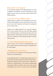#### Why should I see a therapist?

It's increasingly recognised that talking therapies can make a significant contribution to mental well-being for many people. However, there are still some common myths about talking therapies.

#### "I can work out my problems myself."

Talking therapy can help you work through your issues more quickly and thoroughly. It can be useful to talk with someone you can trust, who is objective and trained in working with you to resolve issues.

Going to see a talking therapist is not a sign of weakness and it's more common than you may think. Many people don't tell family/whanau and friends that they have had talking therapy. Other people do tell their family/whanau, who are very supportive. Some talking therapies are family/ whanau based.

# "I've heard talking therapies don't work."

There has been a lot of research on talking therapies, and there is good evidence that the therapies in this guide work for many people.

# "Talking therapies cost money."

It's true that it can cost money to see a therapist, particularly if they are in private practice.

Some talking therapies are subsidised by the government or provided by community organisations like the Samaritans or Presbyterian Support Services, and are free or offered for a small cost or donation/koha. The Accident Compensation Corporation (ACC) and Work and Income also provide counselling services. Access to these services will depend

AGE 5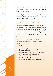on your situation, and usually require an assessment by a mental health professional. Talk to your GP or health provider about what may be available.

Some talking therapies are available through public mental health and addiction services for people with diagnosed moderate to severe mental health issues.

## "You spend years in therapy talking about your childhood."

This is an understanding of one particular type of therapy – psychoanalysis. There are many different types of therapies available now. You can choose to deal with current issues, or explore your past to see how that is affecting you now. The length of time involved will depend on the kind of talking therapy – some are quite brief, while others can last a year or more.

## Why is my general health important?

Our mental health is affected by our general health. We all need to:

• eat well

A GUIDE TO THERAPIES

- exercise regularly
- get around eight hours of sleep a night
- see our GP regularly
- relax: take time for a favourite interest, play some sport, go for a walk on the beach or learn a relaxation technique like meditation
- limit alcohol and avoid non-prescription drugs
- spend time with people who are important to us.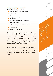## Who gives talking therapies?

Talking therapies may be given by:

- alcohol, drug and gambling workers
- counsellors
- GPs
- occupational therapists
- psychiatrists
- psychologists and clinical psychologists
- psychotherapists
- registered nurses working in mental health or addiction services
- social workers
- whanau or family advisors.

Each talking therapy requires its own training. The above professionals may be fully qualified to practise the therapy they have trained in, or they may have learnt some skills from a particular type of therapy. Some therapies take years to train in. Some talking therapies require the therapist to also have talking therapy. This helps them to understand themselves better when working with you.

Talking therapists work in public services, like a mental health service provided by a district health board or in a medical centre, in community organisations like the Samaritans or Presbyterian Support Services, or in their own private practice.

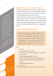

# What's it like to have talking therapy?<sup>2</sup>

Therapy can be in individual sessions or sometimes in groups. An individual therapy session usually lasts about one hour, while a group session may last up to one and a half hours. You will probably have one session per week.

The total number of sessions you have will depend on the type of therapy and your individual needs. Some talking therapies follow a structure and a course of therapy may take a few months. Other talking therapies can be unstructured and a course of therapy may take place over a longer period of time.

# How do I find a talking therapist?

Subsidised or free therapy is available through the public health system and community organisations. Access to these services will depend on your situation, and may require an assessment by a mental health professional. Talking therapies are also available privately. Costs will vary, depending on what the therapist charges. The talking therapies available in your area will also vary.

#### Ask:

- vour GP
- the counsellor at your school
- the health service at your polytechnic or university
- at your marae
- at your local kaupapa Maori service
- your Youth One Stop Shop or a community centre
- your local women's centre or HELP sexual abuse service
- the minister at your church.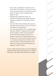- ACC provide counselling for mental injury as the direct result of sexual abuse or assault, or personal injury. Your personal injury must already be covered by ACC. To find out if you are eligible, phone 0800 735 566.
- Talking therapist registration boards and professional organisations have public registers of therapists (see page 76 of this guide for contact details).
- Your local Child, Youth and Family office may have information about therapists in your area who work with children and young people.
- Your local mental health service: in the White Pages, look under "Medical", "Hospital and other Health Service providers". Look for the local hospital or district health board listing, then look for the telephone number under "Mental Health Services". In some cases, it may be under "Psychiatric Services" or "Community Assessment and Treatment Team". There may also be a child and adolescent service. If there is no response, phone the hospital's main telephone number for advice.

If you are a Work and Income client, you may be eligible for subsidised talking therapy (depending on your situation). Talk with your case worker about what may be available.

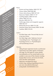

#### Phone:

- Alcohol and Drugs Helpline: 0800 787 797
- Chinese Lifeline: 0800 888 880
- Citizens Advice Bureau: 0800 367 222
- Depression Helpline: 0800 111 757
- Gambling Helpline: 0800 654 655
- Lifeline: 0800 543 354
- Mensline: 0800 636 754
- Outline (gay, lesbian and transgender support): 0800 802 437
- Relationship Services: 0800 735 283
- Samaritans (lower North Island): 0800 726 666
- Youthline: 0800 376 633.

#### Look in:

- the White Pages under "Personal Help Services" in the front section.
- the Yellow Pages under "Addictions Services", "Counselling Services", "Psychologists and Psychology Services", or "Psychotherapists and Psychotherapy Services".

#### Websites:

- talking therapist registration boards or professional organisations have public registers of therapists (see page 76 of this guide for contact details)
- www.webhealth.co.nz: lists mental health services available in some areas of New Zealand, including kaupapa Maori services, and services for Pacific, Asian and other cultural groups
- depression: www.depression.org.nz
- alcohol, drug, smoking and gambling services in your area: [www.addictionshelp.org.nz](http://www.addictionshelp.org.nz)
-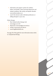- information and support systems for mothers, fathers and families, about postnatal depression and related conditions, like anxiety and bipolar disorder: www.mothersmatter.co.nz
- search the internet under individual professions or talking therapies in your area.

Online therapy:

- New Zealand online therapy trial: www.otago.ac.nz/rid
- depression: www.moodgym.anu.edu.au
- anxiety: [www.ecouch.anu.edu.au](http://www.ecouch.anu.edu.au)
- [www.livinglifeto](http://www.livinglifeto)thefull.com.

See page 36 of this guide for more information about online or computerised therapy.

page 11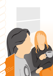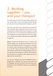# 2. Working together – you and your therapist

The relationship you and your therapist develop together will have a major impact on how much talking therapy will help you solve your issues and make positive changes in your life.

At first you may find it hard to talk about your private life with a therapist. Many people feel nervous when they try something new. It helps to think of your therapist as a caring person who you can trust and who has an objective point of view. Therapists are trained professionals who won't judge you or tell anyone else what you talk about (see *confidentiality* on page 19).

Making a decision to talk about issues or concerns and desired changes with a professional therapist is the first step towards dealing with what's worrying you. Therapists are trained to listen and help you understand what's going on in your life. They are trained to help you develop new skills to better understand your thinking, feelings or the way you respond to what's going on in your life. Some therapists will work with you on options for the changes you want to make and how to make them.

You and your therapist may come from different cultures, backgrounds or lifestyles. You may not share the same first language. You both may need to talk more about your background, values and beliefs to make sure you understand each other.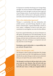It's important to remember that therapy won't change things overnight. You and your therapist will talk together to clearly identify your issues and agree on what you want to get out of your therapy sessions. As you become more comfortable with each other, it will be easier to talk openly and listen to each other, and work towards the goals you have agreed on.

#### Why is the relationship important?

Therapy is a partnership. Like any relationship with another person, successful therapy depends on open, honest communication. A good relationship is based on trust, respect, a willingness to listen to each other, and a commitment to work together even when this feels difficult.

If you have a good relationship, you and your therapist can talk openly, and develop trust and understanding. You and your therapist will be able to agree on what you want from therapy, and what tasks and discussions need to take place. Agreeing on the aims of therapy is an important task and may take time to work through.

**Developing a good relationship is a responsibility that you and your therapist share.** 

#### What is the therapist's role?

PAGE 14

The therapist is there to help you bring about the changes you want to make in your life. In the beginning, your therapist will talk with you about therapy to make sure you understand what you can expect from your sessions with them.

**The therapist is not there to tell you what to do or solve your issues for you. However, they will work with you to develop any skills and knowledge that you need to deal with your issues, or help you recognise beliefs or**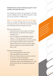**feelings that stop you from achieving your goals. In some situations, they may offer advice.**

Your therapist will support and encourage you, but they may also challenge you and ask difficult questions to help you see your situation in a different way.

# What can I do to get the most out of therapy?

There are a number of things that you and your family/ whanau (if you choose to involve them) can do to help make your relationship with your therapist successful.

Before your therapy starts:

- think about what you want to get out of therapy
- think about how you will know if the therapy is working for you
- make a commitment to attending your therapy sessions – if for any reason you can't make a session, let your therapist know as soon as possible
- your therapist will tell you what to expect from therapy, however if the service has a peer support worker or advocate it may be useful to talk with them as well.

During your therapy sessions:

- be an active participant in each session
- take responsibility for your learning
- talk to your therapist about any concerns you have or what you are most worried about
- it's important to tell your therapist if you don't understand or agree with something they say – they need to know how you are feeling to provide the best help

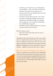- sometimes your therapist may say something that you find difficult – take a bit of time to think about what they said and how it may apply to your situation, then talk to the therapist about what they said and why they said it
- be honest and open about yourself don't avoid discussing or revealing something that may seem shameful, uncomfortable or illegal, your therapist will not judge you, and is bound by confidentiality (see *confidentiality* on page 19)
- remember to tell your therapist about any successes you have had since the last session.

Between therapy sessions:

A GUIDE TO THERAPIES

PAGE 16

take some time to think about what you want to discuss next time.

Depending on the type of therapy you choose, you may be asked to complete tasks between therapy sessions. These tasks are designed to help you get the most out of your therapy, and practise the skills you are learning. If you have difficulty completing these tasks, talk about it with your therapist – together you may be able to find a solution.

#### Will I have the same therapist each session?

If you see a therapist at a private clinic, they will generally work with you for your whole course of therapy. In some cases, if you are receiving therapy through public health services, your therapist may change. It may help to talk about this in your first session, as your therapist will be able to let you know what to expect.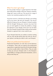## What if we don't get along?

For many people, therapy is a good experience that helps them make positive changes in their lives. However, sometimes things don't seem to work out. This may be for a range of reasons, but sometimes people just don't click.

If you have concerns, or feel that your therapy is not working out for any reason, talk with your therapist. This may be difficult to bring up, but your therapist is trained to openly talk this through. Sharing your concerns may mean that you can work together to resolve the problem or change the approach to your therapy. If the issue can't be fixed, then your therapist should be able to help you find another therapist or approach that is more suited to you.

If your therapist finds they are unable to continue working with you, they will talk openly about this with you, discuss your options, and help you settle in with a new therapist.

# What are professional boundaries?

Professional boundaries are rules that set the behaviour of therapists. These rules are made by the professional organisation or registration board that the therapist belongs to, and are usually called a Code of Ethics. They are made to keep you and your therapist safe. It is the therapist's responsibility to manage professional boundaries, and to tell you what they are.

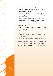Professional boundaries cover areas like:

- how much personal information the therapist can tell you about themselves
- accepting or giving gifts (in some situations, and depending on the cultural context, a small gift may be appropriate)
- relationships therapists must avoid friendships, business relationships or sexual relationships with their client, or their client's family/whanau.

A therapist should:

- only ask for personal details that relate to the issues you are dealing with
- keep your discussions and records confidential (see *confidentiality* on page 19)
- avoid words, actions or jokes that are embarrassing or discriminate
- keep their personal difficulties to themselves.

If you have a concern about a therapist overstepping professional boundaries, you should consider reporting it. See *further information* on page 77 for how to do this.

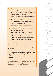#### Tips for your first session

- Before your first session ask either the person who referred you or the therapist any questions you may have about the length of therapy, costs, the therapist's training and confidentiality concerns.
- Try to be a few minutes early so you have a chance to get familiar with your surroundings.
- It's likely that you will feel nervous. Your therapist will understand this and will do their best to help you relax.
- Be as clear as you can when you are explaining what you want help with.
- Your therapist will need to ask you about aspects of your life to understand how they can help. Be prepared for this and answer as best you can. Tell your therapist if you are feeling uncomfortable about what they are asking.

# **Confidentiality**

In general, what you talk about with your therapist is confidential.

Your therapist may seek permission from you to discuss aspects of your sessions with your doctor, or other health professionals involved in your therapy, or their supervisor.

On rare occasions, if your therapist has serious concerns for your safety, or the safety of another person, they are required by law to break confidentiality.

**AGE 19**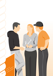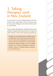# 3. Talking therapies used in New Zealand

This section gives an outline of talking therapies used in New Zealand. There is good evidence that these therapies work for many people, although not all of them will be suitable for your situation.

There are other talking therapies available that haven't been included in this guide, either because they are not widely used in New Zealand, or haven't been extensively researched yet.

Subsidised or free talking therapy is available through the public health system and community organisations. Access to these services will depend on your situation, and may require an assessment by a mental health professional. Talking therapies are also available privately. Costs will vary, depending on what the therapist charges. The talking therapies available in your area will also vary.

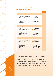# What do the different talking therapies help with?<sup>3</sup>

|                                                                                                                                                                                                                      |                                                                                                                                               | <u>Page</u> |
|----------------------------------------------------------------------------------------------------------------------------------------------------------------------------------------------------------------------|-----------------------------------------------------------------------------------------------------------------------------------------------|-------------|
| Counselling                                                                                                                                                                                                          |                                                                                                                                               | 25          |
| • Alcohol, drug, smoking and<br>gambling issues.<br>• Anxiety.<br>Depression.<br>$\bullet$<br>• Family violence.<br>• Life changes.                                                                                  | • Personal<br>development.<br>• Relationship<br>issues.<br>• Sexual abuse.                                                                    |             |
| <b>Bibliotherapy</b>                                                                                                                                                                                                 |                                                                                                                                               | 29          |
| • Anxiety.<br>Helping children and young<br>$\bullet$<br>people with issues like<br>bullying and divorce.<br>Managing long-term<br>$\bullet$<br>illnesses.                                                           | Mild depression.<br>$\bullet$<br>Obsessive<br>$\bullet$<br>compulsive<br><b>behaviour</b><br>• Personal growth<br>and change.                 |             |
| Cognitive behavioural therapy (CBT)                                                                                                                                                                                  |                                                                                                                                               | 32          |
| Alcohol, drug, smoking and<br>$\bullet$<br>gambling issues.<br>Anxiety.<br>$\bullet$<br>Depression.<br>$\bullet$<br>Eating disorders.<br>$\bullet$<br>• Long-term illnesses.<br>• Obsessive compulsive<br>behaviour. | $\bullet$ Phobias.<br>• Post-traumatic<br>stress.<br>• Self-harming.<br>• Symptoms of<br>bipolar disorder.<br>• Symptoms of<br>schizophrenia. |             |

3 - Royal Australian and New Zealand College of Psychiatrists, 2005; National Health Service Scotland, 2008; New Zealand Guidelines Group, 2008; Forbes et.al, 2007; Luty et.al, 2007; Hay et.al, 2009; Te Pou, 2009; The Werry Centre, 2008; Hunot et al, 2007; James et.al, 2009; *Counselling,* 2009; *Cognitive Behaviourial Therapy*, 2009; National Institute for Health and Clinical Excellence, 2005, 2007a, 2007b; Brassington and Krawitz 2006; Mental Health Foundation UK, 2009; University of Auckland, 2009.<br>A GUIDE TALKINAND<br>TALKING WERLAND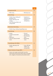|                                                                                                                                                                 |                                                                                                                                                  |  |                                                                                        | Page |
|-----------------------------------------------------------------------------------------------------------------------------------------------------------------|--------------------------------------------------------------------------------------------------------------------------------------------------|--|----------------------------------------------------------------------------------------|------|
|                                                                                                                                                                 | <b>Computerised CBT</b>                                                                                                                          |  |                                                                                        | 36   |
|                                                                                                                                                                 | Mild anxiety.                                                                                                                                    |  | Mild depression.                                                                       |      |
|                                                                                                                                                                 | <b>Family therapy</b>                                                                                                                            |  |                                                                                        | 39   |
|                                                                                                                                                                 | • Alcohol, drug, smoking and<br>gambling issues.<br>• Families adjusting to life<br>changes.<br>• Issues affecting children and<br>young people. |  | • Symptoms of<br>eating disorders.<br>• Symptoms of<br>schizophrenia.                  |      |
|                                                                                                                                                                 | Motivational interviewing                                                                                                                        |  |                                                                                        | 44   |
|                                                                                                                                                                 | Alcohol, drug, smoking and gambling issues.                                                                                                      |  |                                                                                        |      |
|                                                                                                                                                                 | Psychotherapy                                                                                                                                    |  |                                                                                        | 49   |
| • Anxiety.                                                                                                                                                      | • Complex mental health<br>issues.<br>• Depression.<br>• Long-term physical health<br>issues.                                                    |  | • Personal<br>development.<br>• Post-traumatic<br>stress.<br>• Relationship<br>issues. |      |
|                                                                                                                                                                 | Psychotherapy with children                                                                                                                      |  |                                                                                        | 53   |
|                                                                                                                                                                 | Families adjusting to life<br>changes.                                                                                                           |  | • Issues affecting<br>children and<br>young people.                                    |      |
|                                                                                                                                                                 | Dialectic behaviour therapy (DBT)                                                                                                                |  |                                                                                        | 58   |
| • Serious and complex mental health issues like<br>self-harming and persistent binge eating, and people<br>with a diagnosis of borderline personality disorder. |                                                                                                                                                  |  |                                                                                        |      |

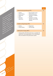|                                                                                                                                                                                                                                                             | Page |
|-------------------------------------------------------------------------------------------------------------------------------------------------------------------------------------------------------------------------------------------------------------|------|
| Interpersonal psychotherapy (IPT)                                                                                                                                                                                                                           | 62   |
| • Post-traumatic stress.<br>• Anxiety.<br>Chronic illness.<br>• Relationship issues.<br>• Symptoms of bipolar<br>Depression.<br>$\bullet$ Grief.<br>disorder.<br>• Postnatal<br>• Symptoms of eating<br>disorders (particularly<br>depression.<br>bulimia). |      |
| Problem solving therapy (PST)                                                                                                                                                                                                                               | 65   |
| • Depression.<br>Anxiety.<br>Chronic illness. • Self-harming.                                                                                                                                                                                               |      |
| Multisystemic therapy (MST)                                                                                                                                                                                                                                 | 69   |
| • Young people with behavioural issues, or alcohol and<br>drug issues, and young people at risk of offending or<br>who are involved in the youth justice system.                                                                                            |      |

A GUIDE TO TALKING THERAPIES

Some of the words used

in this table are medical<br>in this table are medical<br>terms for a diagnosis. A<br>diagnosis is a shorthand<br>diagnosis is a shorthand terms for a diagnosis. A diagnosis is a shorthand

term rosis is out of checked that the distribution of the top of the top of the top of the top of the top of the top of the top of the top of the top of the top of the top of the top of the top of the top of the top of the therapist, or look on the internet if you would like to know more about them.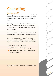# Counselling<sup>4</sup>

# How does it work?

Counselling helps people to increase their understanding of themselves and their relationships with others, to develop resourceful ways of living, and to bring about change in their lives.

Counselling can involve sessions with an individual, or sessions with couples, families/whanau, or groups. Counsellors are usually trained in a number of techniques, and can help with a variety of issues.

Some counsellors have specialist training in specific areas like relationship issues, drug and alcohol issues, and sexual abuse.

Counselling comes in many different forms. You can have telephone counselling or talk to a school counsellor. You may see a counsellor in a health service or private practice.

A counselling session will depend on:

- the issues you are working with
- the techniques your counsellor is trained in
- if you are having individual, couple, family/whanau or group counselling.

4 – New Zealand Association of Counsellors: [www.nzac.org.nz](http://www.nzac.org.nz). (See under ethics.)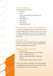# What's it helpful for?

Counselling can be effective for:

- depression
- anxiety
- alcohol, drug, smoking and gambling issues
- life changes
- relationship issues
- sexual abuse
- family violence
- personal development.

# How long does a course of counselling take?

A session of counselling is likely to be about one hour, and you will probably have one session per week. The number of sessions will depend on what you want to get out of counselling. You and your therapist will discuss this in your first session.

# Who will it suit?

Because there are many different forms of counselling, which help with a range of issues, most people should be able to find a counselling style that suits them.

# Where can I find a counsellor?

• Talk to your GP.

PAGE 26

- Look in the White Pages under "Personal Help Services" in the front section.
- Look in the Yellow Pages under "Counselling" Services".
- See *how do I find a talking therapist* on page 8.

There are counsellors and health services that specialise in providing services for Maori. Ask at your marae or local kaupapa Maori service, or talk to your GP.<br>A GUIDE THERAPIDE KAUPAPO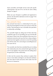Some counsellors and health services work with specific cultural groups. Ask your GP or see *how do I find a talking therapist* on page 8.

Make sure your therapist is qualified and registered to practise. See the *further information* section on page 75 for how to check this.

## Sina and Josh's Story

Sina and Josh have been in a relationship for five years. They have lived together for three years and are in their late thirties. They have gone to see a counsellor who specialises in relationship counselling.

The counsellor begins by asking each of them what they would like to get out of counselling. Sina says she feels like Josh doesn't listen to her. She would like to have more of an emotional connection. Josh says that Sina is always asking to spend more time together, and seems to resent him spending time with his mates. He's come along to counselling because Sina wants him to.

The counsellor asks them how committed they are to making their relationship work. Sina and Josh both agree that they want to stay together. They spend some time talking about the good parts of their relationship.

In their next few sessions they continue to explore their issues in more detail, and begin to see that Josh withdraws from Sina when he feels pressured, which makes Sina feel like she isn't listened to.

AGE 27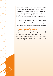Their counsellor asks them if they think a compromise in this situation is possible. They explore some ideas, and decide they will make a date once a week to spend time together. Sina agrees that she will try not to bring up the subject of Josh spending time with his friends. Josh agrees that when they do spend time together he will try to really listen to Sina.

In their next session they both report feeling happier about their relationship. Sina is starting to feel better about their emotional connection, and Josh has learnt to communicate how he is feeling to Sina, rather than withdrawing from her.

#### What's the history of counselling?

A GUIDE TO THERAPIES

PAGE 28

Modern counselling can trace its origins back to psychotherapy work that began in the late 19th century. The psychologist Carl Rogers was a pioneer in the field, with his humanistic and client-centred approaches. Additional research in cognitive psychology, learning theory and behaviour has informed many therapeutic approaches.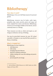# **Bibliotherapy**®

# How does it work?

Bibliotherapy is the use of self-help resources for personal growth.

Bibliotherapy resources may be books, audio tapes, pamphlets, play scripts, journals, poems and songs, and stories adapted from cinema and television. Bibliotherapy resources are increasingly available on the internet, and are commonly known as e-therapy.

These resources can relax us, inform and inspire us, and change our behaviour and way of thinking.

You may be prescribed resources by your GP, school counsellor or therapist, or you may find them yourself at a library or bookshop.

# What's it helpful for?

Bibliotherapy has been helpful for:

- mild depression
- mild anxiety
- managing long-term illnesses
- obsessive compulsive behaviour
- children dealing with issues like bullying and parents divorcing
- personal growth and change.

page 29

<sup>5 –</sup> Jack and Ronan, 2008; Pehrsson et al, 2007; Heath et.al, 2005; Gregory and Vessey, 2004.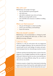#### Who will it suit?

Bibliotherapy suits people of all ages:

- who are interested in personal growth
- with mild issues
- with mild to moderate issues who are having difficulty accessing health services
- who would like extra resources in addition to talking therapy.

#### Where can I find resources?

- Ask your GP, therapist or school counsellor.
- Look in your local library and bookshops.
- Search the internet

#### What else should I consider?

Bibliotherapy is not recommended as a therapy by itself, unless you are working with mild issues, or there is real difficulty accessing a therapist.

## Catherine's Story

PAGE 30

Catherine is a 48 year old woman who was diagnosed with non-Hodgkin lymphoma. She was referred to her local mental health service with feelings of anxiety and panic, which developed when her chemotherapy treatment started.

Catherine said that she had always been a worrier. Since her diagnosis of non-Hodgkin lymphoma she felt on edge and distressed. Catherine's partner was also concerned because Catherine was having difficulty eating. She was unable to relax and was very tearful.

Catherine was given a chapter from a book aimed at educating people about anxiety. She found this really helpful and could relate to most of the content. She felt relieved that she wasn't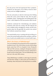the only person who had experienced these symptoms. Catherine was then given a list of library resources about anxiety and non-Hodgkin lymphoma.

She also used poetry to take her mind away from thinking about the cancer, and to help her relax. She was given pamphlets about "looking good and feeling good with cancer", which helped her feel more positive about herself.

Catherine continued her chemotherapy and radiation treatment with much less anxiety. She felt relieved and more confident about managing her anxiety, and felt more positive about her life generally. Her partner also noticed that Catherine seemed more relaxed.

The mental health service is working with the local library to ensure that mental health professionals and library staff have lists of useful and available books on mental health topics.

## What's the history of bibliotherapy?

The use of reading for personal growth has been recognised for hundreds of years. One of the earliest records of prescribing books comes from 1272 at a hospital in Cairo. During the 18th and 19th centuries, reading for therapeutic purposes in hospitals and mental institutions became widespread in Europe and the United States. The term bibliotherapy came into use in the early 20th century.

Today, bibliotherapy is available in a wide range of community and education settings, as well as from your local library or bookshop, where thousands of self-help books are available.

AGE 3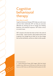# **Cognitive** behavioural therapy®

#### How does it work?

PAGE 32

Cognitive behavioural therapy (CBT) helps you solve issues and view them realistically. CBT can help you overcome difficulties by showing you how to change your thinking, behaviour, and emotional responses. CBT tends to focus on current issues.

CBT is based on the idea that what we feel is the result of what we think – about ourselves, other people and the world in general. If we change how we think, we can also change how we feel and behave, and how we relate to other people.

<sup>6</sup> *– Cognitive Behaviourial Therapy,* 2009; Froggatt, 2006; New Zealand Guidelines Group, 2008; Luty et.al, 2007; James et.al, 2009; Hay et.al, 2009; Hunot et.al, 2007; Forbes et.al, 2007; Mental Health Foundation UK, 2009.<br>A GUIDE TALKIND<br>TALKING W ZEALAND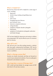# What's it helpful for?

Research has shown that CBT is helpful for a wide range of issues, including:

- depression
- alcohol, drug, smoking and gambling issues
- anxiety
- panic issues
- managing long-term illnesses
- post-traumatic stress
- obsessive compulsive behaviour
- eating disorders
- symptoms of bipolar disorder (alongside medication)
- symptoms of schizophrenia (alongside medication and family therapy).

CBT has been helpful for depression and anxiety in children and young people. CBT may be offered as part of a treatment plan for anorexia.

# Who will it suit?

CBT will suit you if you like working towards a solution with clear goals, using practical techniques. CBT may be recommended to you as part of a treatment plan for specific issues or problems.

# What's a therapy session like?

Sessions are clearly structured, and they are focused on current issues and practical solutions. You are usually given homework to do between sessions.

# How long does a course of therapy take?

CBT is brief and time-limited. An average course of CBT lasts from 6-24 one-hour sessions.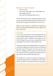### Where can I find a therapist?

- Talk to your GP.
- Look in the Yellow Pages under "Psychologists and Psychological Services".
- Ask at your local kaupapa Maori service.

CBT may be offered by a GP, or a therapist in public or private practice. Some district health board mental health services provide CBT for people with moderate to severe issues.

Make sure your therapist is qualified and registered to practise. See the *further information* section on page 75 for how to check this.

### Lee's Story

A GUIDE TO THERAPIES

PAGE 34

Lee was in his early twenties. He had mild depression and was troubled by negative thoughts, which affected his selfesteem and the way he related to other people. He was tired of feeling this way, and made an appointment with a psychologist who had been recommended to him.

Lee gave an example of his thinking patterns to his therapist. Last week he walked past someone he knew, said hello and they didn't reply. Their rejection went over and over in his head as he thought of all the reasons why they didn't like him, or what he had done wrong for them to ignore him. He then felt even more miserable and depressed.

CBT taught him to examine his pattern of thinking and consider alternative points of view. Maybe the friend didn't hear him say hello, or the friend had his own issues going on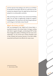and the rejection had nothing to do with Lee at all. Before he decided his friend didn't like him, he could check out the situation by asking his friend. He might find out that he had jumped to an unreasonable conclusion.

After practising some common sense and practical thinking skills, Lee was able to significantly change his negative thinking patterns. His interactions with other people improved and he began to feel better about himself.

### What's the history of CBT?

CBT was developed in the 1960s by Dr Aaron Beck, a psychiatrist based in the United States. He began working with clients' negative thoughts, and developed CBT to help them change their pattern of thinking and view issues more realistically.7 It's one of the most common therapies used in New Zealand and overseas because it has been widely researched and found to be effective for many issues.



7 – Beck Institute, 2008.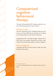# **Computerised** cognitive behavioural therapy

This form of therapy offers CBT through a website, or on a CD or DVD. (See page 32 for more on CBT.)

### How does it work?

Like CBT, computerised CBT is designed to help you solve issues or overcome difficulties by assisting you to change your thinking, behaviour and emotional responses.

Computerised CBT is provided through a website, CD or DVD, rather than seeing a therapist face-to-face. Some websites do provide therapist support via email or telephone.

# What's it helpful for?

PAGE 36

Computerised CBT has been found to help with mild depression and anxiety.

<sup>8 –</sup> Centre for Mental Health Research: [www.ehub.anu.edu.au;](http://www.ehub.anu.edu.au) Titov et.al, A GUIDE TO THERAPIES 2008.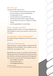# Who will it suit?

Computerised CBT will suit you if:

- you are interested in personal growth and change
- you have mild issues and are having difficulty accessing health services
- you have mild issues and would like to try computerised therapy before seeing a therapist
- you would like extra resources in addition to talking therapy
- you have agoraphobia or social phobias.

### What's a therapy session like?

Computerised CBT sessions are usually self-guided. You work through the course at your own pace, and can access it any time.

### How long does a course of therapy take?

The length of therapy will depend on how often you access the course.

# Where can I find resources?

Otago University is currently trialling a computerised CBT programme for New Zealanders. You can apply to use the website here: www.otago.ac.nz/rid.

MoodGYM and e-couch are Australian-based websites offering online CBT for mild depression and anxiety. Living Life to the Full is a UK-based computerised CBT programme. They are free to access, but don't have therapist support.<sup>9</sup>

- www.moodgym.anu.edu.au
- [www.ecouch.anu.edu.au](http://www.ecouch.anu.edu.au)
- [www.livinglifeto](http://www.livinglifeto)thefull.com

 $n65$ 

<sup>9 –</sup> Centre for Mental Health Research: www.ehub.anu.edu.au.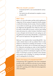### What else should I consider?

- Computerised CBT is not recommended for serious issues.
- You need to be self-motivated to complete a course of online CBT.

### Matt's Story

PAGE 38

Matt is a 25 year old student and flats with his girlfriend in a large town. He has a group of supportive friends and gets on well with his family, who live nearby. A friend was killed in a car accident six months ago, and a few months later Matt was diagnosed with glandular fever. Matt has had to put his study on hold while he recovers, and he's been feeling down and anxious for a while. He doesn't feel like he needs to see a therapist, but he knows he's not coping very well. His girlfriend has heard about MoodGYM, a computerised CBT course for depression. She urges Matt to try it.

Matt says "I was sceptical when I started MoodGYM – how could a website help me with my problems? But it's really helped me understand my thinking and emotions. I'm still grieving for my friend, and I'm frustrated with being sick for a long time and putting my study on hold. MoodGYM has helped me to see that I've been reacting to things in a negative way, and that I've developed a negative view of the future. I'm learning to accept my situation and to develop more positive ways of thinking. I'm starting to feel better, and I'm making plans for the future."

### What's the history of computerised CBT?

Computerised CBT programmes have been developed recently to offer cost-effective and easy to access therapy for people with mild depression and anxiety. The evidence for online CBT is growing, and it's likely that more programmes A GUIDE TO HERARIES ONLINE CBT Is grow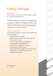# Family therapy<sup>\*</sup>

# How does it work?

Family therapy is a term given to a broad range of methods for working with families/whanau.

Family therapy helps families/whanau to communicate issues or concerns. The goal is to support the strengths in the family/whanau and resolve issues. While there may be many methods in family therapy, the role of the family/whanau in solving issues is central to the therapy.

# What's it helpful for?

Family therapy is helpful for a range of issues. The following are some examples:

- behavioural issues in children
- communication issues between young people and their parents/caregivers
- parents/caregivers experiencing difficulties managing their children's behaviour
- anorexia nervosa, depression, anxiety or schizophrenia in a family member
- when family/whanau members have to make lifestyle changes due to a chronic illness, divorce or separation, loss or grief.



10 – Carr, 2006.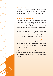### Who will it suit?

Family therapy is likely to suit families/whanau who want to work together to develop healthy and supportive relationships. Family therapy can suit a wide range of people and issues.

#### What's a therapy session like?

A therapist will first work to make sure everyone in the family/ whanau feels comfortable about being in therapy. Issues and concerns are talked through and, ideally, everyone agrees on the direction of the therapy. The therapist's role is to support everyone to contribute and have their views understood.

You may have two therapists working with you and your family/whanau, or you may have other therapists observe your session and provide feedback. The therapist leading the session will let you know if anyone is observing.

### How long does a course of therapy take?

The number of sessions in a course of family therapy varies, depending on the issues and progress made. Some issues like grief, or coping with long-term illness may only take one or two sessions.

6-10 sessions is a usual course of therapy. Many family therapy providers will suggest a certain number of sessions, and then review progress to decide if further sessions are required.

A GUIDE TO THERAPIES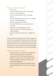# Where can I find a therapist?

- Ask your GP.
- Look in the White Pages under "Personal Help Services" in the front section.
- Look in the Yellow Pages under "Counselling" Services".
- Contact Relationship Services (under "Counselling Services" in the Yellow Pages).
- Ask the counsellor at your school.
- Ask at the health service at your polytechnic or university.
- Ask at your local kaupapa Maori service.
- Search the internet for "Family Therapists" or "Family Therapy".
- Phone the Citizen's Advice Bureau on 0800 367 222.

Many community organisations have family therapists as part of their counselling staff. Child and family mental health services provided by district health boards may also offer family therapy. There are a small number of specialist family therapy centres in New Zealand. Some clinical psychologists and therapists in private practice also offer family therapy.

# What else should Lconsider?

- Family therapists are not required to be registered under the Health Practitioners Competence Assurance Act 2003 (see *further information* on page 75 for more on this). You should ask about the family therapist's training and if they have a professional registration.
- You may receive family therapy alongside another therapy, depending on the issues you are working with.

PAGE AT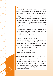### Alice's Story

PAGE AZ

Alice was an 11 year old girl who began to severely limit her eating, started exercising a lot, and withdrew from her family, spending increasing amounts of time in her bedroom. She became tearful, sad and irritable at home. She appeared to be doing well at school, had good grades and participated well in activities. Her teachers and parents noted that she had moved through several friendship groups during the previous 18 months. There were major concerns about Alice's physical and mental health due to her very low body weight and low mood.

Alice and her family were referred to family therapy. Alice's treatment plan involved a GP, dietician, psychiatrist and clinical psychologist. Part of the treatment plan explored and addressed family-related issues.

Alice was the youngest of four girls. Alice's parents had been married for 25 years and were very supportive of their children. Alice's older sisters were in their teens or early adult years and had been successful either in their studies or in sport. The family had recently been through a period of stressful events. Alice appeared to be struggling with a view of herself that she would "never be able to measure up" to her older sisters. She had also taken on an unrealistic need to solve or address family issues.

As well as individual therapy sessions with Alice, which focussed on exploring some of her negative views and unrealistic expectations of herself, family therapy sessions included all family members. The focus of these sessions was on supporting family members to communicate their views and needs more openly, and for Alice (and other family members) to clarify misunderstandings about their own and ouve To the ARIVES members) to clarify misunce others' roles in the family.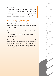Alice's need to be perceived as "perfect" in a range of ways reduced in response to the family therapy sessions. Alice began to value herself for "who she is" rather than for "perfect" behaviour or achievements. Gradually she began to spend time with her family, developed healthy eating patterns, and had stable friendships at school.

### What's the history of family therapy?

Treating issues within a family context began in the 1950s. This led to a whole new way of understanding and explaining human behaviour, with the focus shifting from the individual to the entire family.

Earlier concepts and movements in the field of psychology influenced family therapy: small group dynamics, the child guidance movement, research on family dynamics and marriage counselling.

A number of different schools and approaches to family therapy developed. Key figures include Salvador Minuchin, Jay Haley, Virginia Satir, Michael White, Carl Whitaker, Gregory Bateson and Don Jackson. The different approaches all believe that involving families in solutions is beneficial.

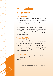# Motivational interviewing

### How does it work?

Motivational interviewing is a brief, focussed therapy that is commonly used in alcohol, drug, smoking and gambling services, and increasingly in mental health and general health services in New Zealand.

Motivational interviewing works on behaviour change by helping you recognise and actively deal with issues, attitudes and beliefs that are preventing change. It assists you to become committed to change and to develop a plan for making change happen.

# What's it helpful for?

Motivational interviewing is widely used to help people reduce or stop their problematic use of alcohol or other drugs and cigarettes. Motivational interviewing can help with gambling issues, and it's increasingly being used in mental health and primary health services to help people with health and lifestyle changes. It can be used alongside other talking therapies.

### Who will it suit?

PAGE 44

Motivational interviewing is suitable for people who are finding it difficult to make or maintain behaviour and lifestyle changes.

<sup>11 –</sup> New Zealand Guidelines Group, 2008; Rollnick and Miller, 1995; A GUIDE TO THERAPIES TO THE POU, 2007.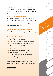Feedback suggests that people from a range of cultural backgrounds have found motivational interviewing an acceptable and effective therapy.12 It has been effective for young people and adults.

# What's a therapy session like?

Motivational interviewing is a brief, client-centred therapy. Client-centred means that you control the focus and pace of the therapy. You work with your therapist to understand why it's hard for you to make changes, and then develop a plan for making changes in your life.

# How long does a course of therapy take?

The length of therapy will depend on your goals. You may only need a few sessions to bring about change in your life.

# Where can I find a therapist?

- Ask your GP.
- Phone Lifeline: 0800 543 354
- Look on this website: www.addictionshelp.org.nz.
- Look in the White Pages under "Personal Help" Services" in the front section.
- Look in the Yellow Pages under "Counselling Services".
- Ask at your local kaupapa Maori service.
- Ask the counsellor at your school.
- Ask at the health service at your polytechnic or university.
- Look on the internet.

Make sure your therapist is qualified and registered to practise. See the *further information* section on page 75 for how to check this.



<sup>12 –</sup> Te Pou, 2007.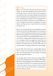### Mike's Story

Mike is in his late forties and married with three teenage children. He was made redundant from his full-time job six months ago, and has only been able to find casual parttime work since then. He's always enjoyed a few drinks with friends, but lately he's been spending a lot more time at the pub, and drinking quite heavily. He's been arguing with his family, and his partner and friends are worried. Mike knows he's not coping well. His partner encourages him to phone Lifeline, and they put him in touch with his local alcohol and drug service.

Mike arrives at his appointment not knowing what to expect and not sure that this is the right thing to do. He's introduced to Joe, an alcohol and drug counsellor, who starts by asking Mike what has brought him to counselling. Mike tells Joe that other people think he has a drinking problem but he's not convinced. Joe recognises Mike's reluctance and stresses that he is not going to make any judgements about Mike and that the session is focussed on Mike exploring his drinking behaviour and motivations. Any decisions Mike makes are his own and Joe is not going to force him to make changes.

Joe asks Mike what he likes about drinking. Mike tells him that it's a great way to socialise and spend time with his mates. He's stressed about his work situation and drinking helps him forget his problems.

Joe asks Mike what he doesn't like about drinking. Mike is aware that his drinking has had some negative effects lately. He finds it hard to get going in the morning and sometimes after a night at the pub he can't remember what he has said or done. His mood is also up and down and he's irritable with his family. He also notices that he is spending more A GUIDE TO THERAPIES with his family. He also no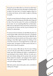During this process Mike reflects on what he has talked about with Joe and understands that although his drinking seems to help in the short term, it's having a negative impact on his family and friends, and he thinks it might be affecting his health.

He feels a tension between the things he values, like his family and friends, and the drinking. Joe asks Mike what things will be like in the next few years if he carries on drinking like he has been. It's not something Mike likes to think about. Mike starts to talk about his fears and worries and becomes concerned for his future and the way his behaviour has affected his relationships.

He asks Joe what he should do. Joe tells Mike that there are several options Mike could choose from but it all depends on what Mike wants and what is best for him. Mike likes the idea that he has choices and the rest of the session is spent looking at what Mike might do about his drinking. At the end of the session he is encouraged that he can take some positive steps, and agrees to another session with Joe in a week's time to discuss his options.

In the next session, Mike tells Joe that he's been thinking a lot over the past week. Mike has decided he values his family more than drinking and makes a commitment to stop drinking for three months. With Joe, he works out a plan that includes talking with his partner, kids and close friends about his situation, and asking for their support. They make a plan for structuring Mike's day, and work on some job-seeking strategies.

Mike feels positive about these plans and is committed to making some changes.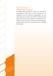# What's the history of motivational interviewing?

A GUIDE TO THERAPIES

PAGE AB

Dr William Miller published a paper on motivational interviewing in 1983, after a series of discussions on addictions with the graduate psychologists he was supervising. The concepts and methods outlined in that paper were taken up by researchers, expanded on and trialled, to the extent that motivational interviewing has become common practice in a number of countries, including New Zealand.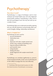# Psychotherapy<sup>®</sup>

# How does it work?

Psychotherapy is a range of techniques used to treat emotional and mental health issues and some diagnosed mental health conditions. Psychotherapy is often used to deal with psychological issues that may have built up over a number of years.

Psychotherapy helps you to understand yourself by exploring how your early life experiences and personality affect your current thoughts, feelings, relationships and behaviour.

# What's it helpful for?

Psychotherapy has been used for:

- personal development
- relationship issues
- anxiety
- depression with other complex mental issues
- alcohol, drug, smoking and gambling issues
- long-term physical health issues
- post-traumatic stress
- eating disorders
- dealing with abuse
- people diagnosed with complex mental health issues.

Psychotherapy can contribute significantly to a person's mental and physical health, to their sense of well-being and to their ability to manage their lives more effectively.

page 49

<sup>13</sup> *– Psychotherapy,* 2009; Mental Health Foundation UK, 2009; New Zealand Association of Psychotherapists: www.nzap.org.nz.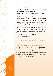### Who will it suit?

A GUIDE TO THERAPIES

PAGE 50

Psychotherapy will suit people who want to understand the meaning of their experiences, behaviour and thoughts, and make changes to achieve greater satisfaction in their lives.

### What's a therapy session like?

Your therapist will work with you to understand your thoughts, feelings, relationships, behaviour, and sometimes your dreams and fantasies. The content of your sessions is directed by what you bring to each session.

You may work with your therapist to see the links between what you discuss in sessions and the unconscious factors affecting your feelings, thoughts, behaviour and relationships. You may explore the history of these unconscious factors, see how they have changed and developed over time, and work towards resolving them.

You may see a psychotherapist by yourself, with your partner or a group.

### How long does a course of therapy take?

A psychotherapy session usually lasts for one hour, once a week or fortnight. The length of therapy will depend on what issues you are working with, and what you would like to achieve from therapy. Psychotherapy can last for months or sometimes years. You will usually discuss a likely period of time to work with your therapist.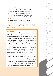# Where can I find a therapist?

- Look on the Psychotherapist's Board of Aotearoa New Zealand website: www.pbanz.org.nz.
- Look on the New Zealand Association of Psychotherapist's website: www.nzap.org.nz.
- Look in the Yellow Pages under "Psychotherapists".
- Ask your GP.
- Ask at your local kaupapa Maori service.

Make sure your therapist is qualified and registered to practise. See the *further information* section on page 75 for how to check this.

# David's Story

David is 45, and was referred to a psychotherapist by his GP for depression, low motivation and poor self-esteem. His partner and close friends were worried about his heavy drinking and angry outbursts. David wondered if life was worth living, and felt suicidal at times. David described himself as a Pakeha man without strong convictions about anything. He could not easily describe his values or beliefs.

David found it difficult to talk about himself and his feelings. Doing things, like his job, was the focus of his life. He didn't understand his own unhappiness. Over several sessions the therapist invited David to talk about his early life.

David's older brother is disabled and needed a lot of his mother's attention when they were young. His dad worked long hours and didn't spend much time with the family. David felt he couldn't ask for attention as his parents were too busy. David said that he had felt sad from an early age, feeling too responsible and anxious to play or relax.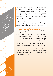The therapy relationship provided David with the experience of being heard by someone willing to get to know him and to understand him without judgment. He recognised that he felt play and leisure activities were bad because there was work to do and "a man should be serious". As he found words to describe the sadness he had carried most of his life, David began to feel free.

He felt more able to be himself with others, to join in and enjoy his relationships. He learnt that it was okay to ask for what he wanted from others and to feel close to people.

# What's the history of psychotherapy?

The idea of talking to help relieve emotional issues has been around for a long time. The ancient Greeks recognised the value of talking to relieve mental illness. However serious research into talking therapy didn't really begin until after the mid-19th century. The English psychiatrist Walter Cooper Dendy first introduced the term psycho-therapeia in 1853.

Modern psychotherapy is based on the work of Sigmund Freud. Freud was a trained neurologist who went into private practice in Vienna in the late 19<sup>th</sup> century. He developed a method of working with his clients that he called psychoanalysis. Freud's methods were widely used in Europe and the United States until the 1950s, when more techniques were developed.

A GUIDE TO THERAPIES

Variations of psychotherapy

psychoanalysis, psychotherapy,<br>include: psychoanalytic psychotherapy,<br>include: nalytic psychotherapy,<br>psychoanalytic psychoanaly.

psychodynamic psychotherapy<br>psychodynamic psychotherapy<br>analytical psychology,<br>lungian or Freudian analytical psychology, Jungian or Freudian

analysis, and focal<br>Jungjan and focal<br>analysis, and focal<br>psychodynamic<br>psychodynamic

page 52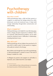# **Psychotherapy** with children $44$

### How does it work?

Child psychotherapy helps a child and their parents or caregivers to understand the feelings behind the child's behavioural, social and emotional issues. It helps build stronger relationships through better communication and understanding.

# What's it helpful for?

Child psychotherapy can be helpful for issues like being angry, anxious, unhappy, disruptive, hyperactive or withdrawn. These are commonly called behavioural problems, and are often caused by emotional issues or difficulties in relationships, including attachment issues.

# Who will it suit?

Child psychotherapy will suit children from preschool to 18 years old. If a child is under 16, their parents or caregivers will usually be involved in the therapy.

Most children work through their issues well in psychotherapy. A child psychotherapist is trained to assess if this kind of therapy is suitable for a child.

A willingness by parents and caregivers to self-reflect is important, and a stable home life is also helpful.

<sup>14 –</sup> Section drafted by Jo Doyle, child psychotherapist and reviewed by New Zealand Association of Child Psychotherapists Board.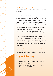### What's a therapy session like?

A therapy session usually lasts for about an hour, and happens once a week.

In the first session, the therapist will usually see all family/ whanau members who live with the young person, to explore their concerns and explain the therapy process. Toys and art materials are provided for children to communicate their concerns through the use of symbolic play and activities. This will include dramatic play, painting, drawing and talking.

The next sessions will vary depending on the issues being addressed. Parents may meet with the therapist alone, and the whole family may be involved several times. Commonly, the child will spend time on their own with the therapist.

Some children find it difficult to talk about what is worrying them. Child psychotherapists are trained to understand a child's emotional and relational world through observing their play and art work. This is then discussed with parents and caregivers to help the child overcome issues they may be experiencing.

### How long does a course of therapy take?

A course of therapy can vary in length from a few sessions to many months. In severe cases it can take two or three years.

### Where can I find a therapist?

- Look on the Psychotherapy Board of Aotearoa New Zealand website: [www.pbanz.org.nz](http://www.pbanz.org.nz) (you can search the register for psychotherapists registered with a Child Scope of Practice).
- Phone the Psychotherapy Board of Aotearoa New Zealand: (04) 918 4727.<br>A GUIDE THERAPIES ZEALAND ZEALAND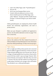- Look in the Yellow Pages under "Psychotherapists".
- Ask your GP.
- Ask at your local kaupapa Maori service.
- Contact child and adolescent services at your district health board (in the White Pages, look under "Medical", "Hospital and Other Health Service Providers" to find the listing for your district health board).

Child psychotherapists are employed by district health boards and community organisations, and work in private practice.

Make sure your therapist is qualified and registered to practise. See the *further information* section on page 75 for how to check this.

# What else should I consider?

Look on the website of the New Zealand Association of Child and Adolescent Psychotherapists for more information about how child psychotherapy can help: www.nzacap.org.nz.

# Tahi's Story

Tahi is an eight-year-old boy whose parents were concerned about his difficult, aggressive behaviour at home and school. Things had been getting worse over the past year. Tahi was in danger of being expelled from his primary school and his parents felt they couldn't cope any longer. However, Tahi's parents felt they overreacted to Tahi when they were tired or stressed. They also said Tahi could be very loving and was usually patient and kind to his younger sister and brother. They decided to see a child psychotherapist.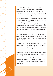The therapist assessed Tahi's development and family history. There were several factors that seemed to be affecting Tahi. When he was born his parents were under a lot of personal stress. They didn't feel prepared for a baby and felt unsupported by family and friends.

Tahi was put in preschool at an early age. He showed a lot of anxiety about being separated from his parents, and became aggressive and disruptive. Tahi moved to a new primary school last year and during this time his younger sister became ill, needing emergency trips to hospital. There was a family history of anxiety and depression, and some family members were known for their "difficult, aggressive" personalities.

Tahi's angry behaviour showed he had low self-esteem and did not feel loved or understood by his family. His mother felt very anxious and helpless about Tahi's anger, and she felt blamed by the school.

Therapy sessions focussed on helping Tahi's mother feel confident and secure in her role as a mother. Sessions where Tahi and his mum played together helped Tahi see her as loving, interested and there for him.

Home life for Tahi and his family improved immediately. Tahi's mother felt she could respond to him in better ways, and Tahi felt more secure within his family. A follow-up session after six weeks confirmed that relationships were continuing to improve. In his first weeks of a new school term Tahi had no issues and his teachers were pleased with his behaviour.

A GUIDE TO THERAPIES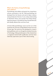# What's the history of psychotherapy with children?

Psychotherapy with children and parents has a long history overseas, particularly in the UK. Child psychotherapy has developed from the theories and work of object relations and psychodynamic theorists. It uses a deep understanding of attachment theory and concepts from family therapy. Important pioneers in the field have been Donald Winnicott, John Bowlby, Melanie Klein and Anna Freud.

A formal child psychotherapy course was first run in New Zealand by the University of Otago Medical School more than 30 years ago. The course has now developed to a master's level qualification and is run through the Auckland University of Technology. Child psychotherapists in New Zealand have a recognised mental health qualification and have been intensively supervised as part of their clinical training.

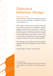# **Dialectical** behaviour therapy<sup>®</sup>

# How does it work?

Dialectical behaviour therapy (DBT) is generally used to treat serious issues like self-harming, and significant emotional and relationship issues.

DBT combines techniques used in cognitive behavioural therapy (CBT) (see page 32) for changing your thoughts, feelings and behaviour, with concepts such as mindfulness. Mindfulness means becoming aware of what you are actually experiencing right now, and separating this from any thoughts and emotional experiences you may have about the past or future. DBT uses meditation and stress management techniques to help you cope with overwhelming feelings.

DBT encourages you to recognise and understand different viewpoints, which helps to change how you react in difficult situations.

The goal of DBT is to build a "life worth living".

<sup>15 –</sup> Sanderson, 2008; Brassington and Krawitz, 2006; Te Pou, 2007; New Zealand Guidelines Group, 2008; Binks et.al, 2006; *Balance programme*, A GUIDE TO HERAPIES 2009.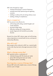DBT works through four stages:

- working toward being in control of behaviour
- working toward fully experiencing and regulating emotions
- building an ordinary life and solving ordinary issues
- building a feeling of completeness.

# What's it helpful for?

DBT has proven to be effective for:

- self-harming (self-cutting, suicidal thoughts and suicide attempts)
- persistent binge eating
- difficulties dealing with strong emotions
- people diagnosed with borderline personality disorder.

Research has shown DBT reduces anger and self-harming, reduces dependence on mental health services, and improves relationship difficulties.

# Who will it suit?

Most people will be referred to DBT by a mental health service, after they have had a thorough assessment of their needs.

# What's a therapy session like?

DBT typically involves a combination of:

- individual therapy (60-90 minutes per week)
- group skills training (two hours per week)
- emergency phone counselling.

# How long does a course of therapy take?

Because DBT works with complex issues, a course of therapy can last a year or longer.

page 59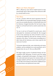### Where can I find a therapist?

DBT is offered by some district health boards for their mental health clients. Most people will be referred to DBT by a mental health service.

### Tia's Story

A GUIDE TO THERAPIES

PAGE 60

Tia was a sensitive child who found separations from her mother difficult, but was generally happy. During her teenage years she was sexually abused by a trusted family friend, and her behaviour changed drastically. She had mood swings, began to cut herself and tried to commit suicide when she was 15.

Tia was in and out of hospital for several years, which interrupted her schoolwork and family life. She managed to live in the community, but still cut herself in secret as she found this helped her deal with her emotions and the memories of her abuse. Tia tried trauma counselling, but it didn't help with her behaviour, and at times made her feel more out of control.

Tia became depressed after some relationship and money problems, and was admitted to an acute psychiatric unit in hospital when she was 23. She was offered DBT.

She began weekly sessions of individual therapy and also completed a DBT skills group. Tia learnt some new coping strategies, and gradually made progress. She began to feel she could understand and express her emotions better, and no longer needed to self-harm. Once she reached this point she was able to have therapy to deal with her childhood issues and sexual abuse and experienced some relief.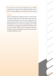Tia was able to become fully independent, have healthy relationships, get a job, and stop using mental health services. After her serious difficulties, she had built a life worth living.

#### **History**

DBT was developed by Dr Marsha Linehan in the late 1970s. Dr Linehan started using CBT with women who had serious self-harming behaviour and had been diagnosed with borderline personality disorder, but found the therapy had limited benefits for her clients. She adapted parts of CBT and added new strategies and meditation techniques. DBT has been clinically trialled and is considered an effective therapy for serious mental health issues that were previously considered difficult to treat.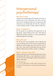# **Interpersonal** psychotherapy<sup>1</sup>

### How does it work?

Interpersonal psychotherapy (IPT) identifies and works on problem areas in your relationships with others and your roles in life. It's designed to help your communication skills and improve your relationships and roles (for example as a wife or husband, mother or father, student, worker etc).

### What's it helpful for?

IPT has proven to be effective with depression for all age groups, anxiety, bulimia nervosa and a wide range of diagnosed psychiatric disorders, as well as personal and relationship growth and changes.

### Who will it suit?

PAGE 62

IPT will suit you if you would like a short, step-by-step course of therapy, and you feel that your relationships or adjustment to role changes seem to be the main cause of your issues. These may be relationships with your partner, children, family/whanau members, friends or colleagues.

### What's a therapy session like?

With your therapist, you first identify problem areas in your relationships with others, or your adjustment to roles in your life. You then work through a step-by-step process to address these areas.

16 – Luty et al, 2007; Ministry of Health, 2009; International Society for Interpersonal Psychotherapy: [www.interpersonalpsychotherapy.org](http://www.interpersonalpsychotherapy.org); Luty, 2009.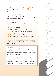# How long does a course of therapy take?

A course of IPT usually lasts for 12-16 sessions, once per week.

# Where can I find a therapist?

IPT is not yet widely available in New Zealand, so it may be hard to find a therapist in your area.

- Ask your GP.
- Look in the Yellow Pages under "Counselling Services".
- Look on the internet.
- Ask the counsellor at your school.
- Ask at the health service at your polytechnic or university.
- Ask at your local kaupapa Maori service.
- See *how do I find a talking therapist* on page 8.

Make sure your therapist is qualified and registered to practise. See the *further information* section on page 75 for how to check this.

### Jane's Story

Jane is 34, and lives with her partner in a large urban centre. Jane has had depression twice before – once in her late teens, and again last year. She isn't happy with her life, and talks with her GP, who suggests IPT.

In her first session, Jane and her therapist talk about the important people in Jane's life – past and present. Jane draws a timeline, which shows the relationship between changes in her mood, her life events and her interpersonal relationships.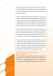She identifies conflict with her partner and family members, and would like to feel closer to them. Jane says she doesn't feel very confident and she often feels disconnected from people around her.

Jane and her therapist agree to work more on how she sees herself in relationships, her relationship patterns, and how she communicates. They do some role plays, with the therapist acting as Jane's partner, and through these Jane begins to see that she stops conversations with her partner when they talk about a subject she finds painful, or isn't confident about.

Jane's therapist works with her on a new way of communicating. As Jane practises with her partner and family, she begins to feel more confident. She realises her lack of confidence was preventing her from really opening up. At the same time, she had a deep need to feel understood by people close to her.

As Jane continues to work on her new communication style, she feels her relationships improving, not only with her partner and family, but with friends and her wider community. By her last two sessions, Jane is sure she doesn't need therapy anymore. A follow-up with Jane three months later confirms she feels her relationships are continuing to improve.

# What's the history of interpersonal psychotherapy?

A GUIDE TO THERAPIES

PAGE 64

IPT has origins in psychoanalytic psychotherapy. It was developed in the 1980s by Gerald Klerman and Myrna Weissman to address interpersonal issues in depression. IPT has since been modified to help a wider range of issues.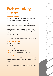# Problem solving therapy<sup>"</sup>

### How does it work?

Problem solving therapy (PST) uses a step-by-step process to help you with your problem solving skills.

PST is based on research, which shows that sometimes people with issues have difficulty solving problems effectively.

During a course of PST, you work with your therapist to identify issues in your life, and develop an approach to solving these issues. You also work on improving your general problem solving skills.

PST is also known as structured problem solving therapy.

# What's it helpful for?

PST has proven helpful for:

- depression
- anxiety
- chronic illness
- suicidal thoughts and behaviour
- behaviour change and personal growth.

### Who will it suit?

PST will suit you if you feel that your problem solving skills could be improved, and you would like a brief and focused therapy.

<sup>17 –</sup> Ministry of Health, 2009; University of Auckland, 2009; Pierce and Gunn, 2007.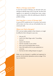#### What's a therapy session like?

In your first session of therapy, you will work with your therapist to identify major issues in your life. You then work together on an approach to solving these issues, using a step-by-step process, while also exploring your attitude to problem solving.

#### How long does a course of therapy take?

A course of PST usually lasts for 4-8 sessions. Each session will be about one hour, and you will probably have one session per week.

#### Where can I find a therapist?

PST is not yet widely available in New Zealand, so it might be difficult to find a therapist in your area.

• Ask your GP.

A GUIDE TO THERAPIES

PAGE 66

- Look in the Yellow Pages under "Counselling Services".
- Look on the internet.
- Ask the counsellor at your school.
- Ask at your local kaupapa Maori service.
- Ask at the health service at your polytechnic or university.
- See *how do I find a talking therapist* on page 8.

Make sure your therapist is qualified and registered to practise. See the *further information* section on page 75 for how to check this.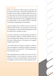# Lizzie's Story

Lizzie is 25, and has two children aged six and three with her partner of nine years. Her parents separated when she was eight, and her mother committed suicide when she was 10. Lizzie went to live with her dad, and then moved in with her partner when she was 16. Lizzie had low self-esteem, felt very negative about herself, and was struggling to look after her young children. Lizzie was referred to PST a week after overdosing on sleeping tablets and painkillers.

Lizzie felt negative about herself in most areas of her life. Talking with her therapist, she realised that she often tried to avoid problems or reacted without thinking when she felt she couldn't bear a problem any more.

Lizzie used a worksheet to write down feelings and behaviour that showed there might be a problem: feeling sad for no reason, drinking heavily, yelling at the kids, not answering the phone, feeling anxious, and having a lot of negative thoughts about herself.

Lizzie worked with her therapist to identify a number of issues that might be causing these feelings and behaviour. She then picked one to work with: "I don't feel good about how I look after my son".

After talking about this in detail, Lizzie came up with a problem statement: "I don't know how to give my son the attention he wants in the school holidays, as well as maintain my daughter's routine and all my usual household chores".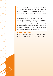Lizzie was encouraged to brainstorm some possible solutions to this problem. She surprised herself by the number of ideas she had. Lizzie then came up with an action plan for the holidays, by looking at the advantages and disadvantages of each idea.

Lizzie's son was excited by the plans for the holidays, and Lizzie was also looking forward to them. She realised she found it hard to be creative when she was feeling stressed and pressured. Through this exercise Lizzie felt more confident and generally better about herself. She felt ready to address a new problem. She was also surprised but pleased that facing up to her issues had helped her to feel better.

### What's the history of PST?

PST was initially developed in the early 1970s by D'Zurilla and Godfried, and expanded on through research trials.

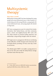## Multisystemic therapy®

#### How does it work?

Multisystemic therapy (MST) has been developed for young people with serious behavioural issues. In New Zealand, it is mainly being used with young offenders, young people with serious behavioural issues, and young people with alcohol or drug issues.

MST views a young person as part of a network that includes themselves, their family/whanau, and their community (peers, school, and neighbourhood). MST works with this whole network to promote healthy behaviour and relationships, using existing strengths within the network.

MST targets areas in a young person's life that are contributing to their difficulties. An MST therapist works intensively with the family/whanau, providing a 24-hour, seven-day-a-week on-call service.

The ultimate goal of MST is to enable a young person to learn to live well, and to help the family/whanau manage any future issues that may occur.

18 – Te Pou, 2007; Curtis et al, 2009; MST Institute: [www.mstinstitute.](http://www.mstinstitute.org) [org;](http://www.mstinstitute.org) Russell, 2008; Werry Centre, 2008, Bruce, 2009.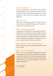#### What's it helpful for?

MST has been effective in New Zealand with reducing offending behaviour by young people. Research has also found that it helps reduce alcohol and drug issues, violent behaviour at home and in the community, and school difficulties.

#### Who will it suit?

MST will suit young people aged 10-17 years who have complex issues, or alcohol and drug issues. They may be involved in the youth justice system.

#### What's a therapy session like?

A therapy plan is developed with the young person and their family/whanau, and therapy takes place within the young person's home, school and wider community. Other members of the young person's community, like teachers, will also be involved. A therapist is available to the family 24 hours a day, seven days a week for the course of therapy.

#### How long does a course of therapy take?

MST is a short-term, intensive programme generally running for five months.

#### Where can I find a therapist?

MST is not yet widely available throughout New Zealand. Young people are usually referred to an MST team by Child, Youth and Family Services, Child and Adolescent Mental Health Services, Police Youth Aid, school counsellors, Group Special Education, and school counsellors. In some areas families can self-refer.<sup>19</sup>

A GUIDE TO THERAPIES 19 - Bruce, 2009.

page 70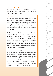#### What else should I consider?

MST requires a high level of commitment by everyone involved to get the best outcome for a young person, their family/whanau and community.

#### Hamish's Story

Hamish, aged 16, was referred to an MST team by Police Youth Aid for his offending behaviour (stealing money and property to sell for drugs), his alcohol and drug use (cannabis on a daily basis and binge drinking alcohol once a week), and his verbal and physical aggression at home (which included swearing, threats to harm and using weapons to threaten on a daily basis).

The first step involved developing a safety plan with Hamish's family based on the most recent incident of aggression. The safety plan gave the family some strategies to deal with threatening situations. They were supported by the MST team's 24-hour on-call service if needed. The family then developed some clear rules for their home, with incentives and consequences. A plan was developed to ensure everyone worked together as a team and that Hamish's parents were consistent in their responses to him.

Hamish would often intimidate his parents to get money for his drug habit, so the family and the MST clinician worked on some strategies for not giving in to his demands. A monitoring plan was developed, which gave clear expectations about the type of information the family needed before Hamish went out, a curfew time, and a plan for what the family would do if this was not followed. They also worked on supporting Hamish to find work, as having too much time on his hands was clearly contributing to his risky behaviour.

 $pQE$ <sup>T</sup>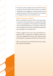The family worked incredibly hard with the MST clinician and by the end of treatment there had been no incidents of offending, and his aggression, drug and alcohol use had significantly reduced. The family also learned some strategies for dealing with future issues should they arise.

#### What's the history of MST?

MST was developed in the late 1970s in the United States in response to perceived limitations in existing mental health services for young offenders. These limitations included high costs and minimal effectiveness. The therapy is based on a social-ecological view of human development proposed by the psychologist Urie Bronfenbrenner.

Evidence suggests that serious anti-social behaviour is determined by a combination of individual, family, peer, school and neighbourhood factors. MST addresses these by working with a young person within their social networks.

MST is now being used in the United States, the UK, Australia, New Zealand and elsewhere.

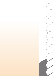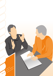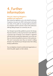## 4. Further information

### How do I check my therapist is qualified and registered?

New Zealand has legislation such as the Health Practitioners Competence Assurance Act 2003, which protects the health and safety of the public by ensuring health practitioners are competent and fit to practise. Some of the professions offering talking therapies are covered by this act.

Your therapist may be fully qualified to practise the therapy they have trained in, or they may have learnt some skills from a particular type of therapy. If your therapist is registered with their board or professional organisation, you can be sure they are trained and qualified to practise in their profession. This won't necessarily mean they are trained in talking therapies. You should ask your therapist about their talking therapy qualifications.

You can telephone a board or professional organisation, or check the public register on their website.

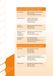#### Covered by the Health Practitioners Competence Assurance Act 2003 and regulated by a board:

| Psychologists                                                                                            | New Zealand Psychologists Board<br>$(04)$ 471 4580<br>www.psychologistsboard.org.nz                                |
|----------------------------------------------------------------------------------------------------------|--------------------------------------------------------------------------------------------------------------------|
| Psychotherapists                                                                                         | Psychotherapy Board of<br>Aotearoa New Zealand<br>Phone: (04) 918 4727<br>www.pbanz.org.nz                         |
| GPs and<br>psychiatrists                                                                                 | <b>Medical Council of New Zealand</b><br>0800 286 801<br>www.mcnz.org.nz                                           |
| Registered nurses<br>working in<br>mental health<br>or addictions                                        | Nursing Council of New Zealand<br>(04) 385 9589<br>www.nursingcouncil.org.nz                                       |
| Occupational<br>therapists                                                                               | <b>Occupational Therapy</b><br><b>Board of New Zealand</b><br>(04) 918 4740 or 0800 99 77 55<br>www.otboard.org.nz |
| Not covered by the Health Practitioners Competence<br>Assurance Act 2003, but have a professional board: |                                                                                                                    |
| Counsellors                                                                                              | New Zealand Association<br>of Counsellors<br>(07) 834 0220<br>www.nzac.org.nz                                      |
| Drug and alcohol<br>workers                                                                              | Drug and Alcohol Practitioner's<br>Association of Aotearoa New Zealand<br>(04) 499 3083<br>www.dapaanz.org.nz      |
| Social workers                                                                                           | <b>Social Workers Registration Board</b><br>$(04)$ 931 2650<br>www.swrb.org.nz                                     |

PAGE 76

A GUIDE TO THERAPIES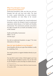#### What if my therapist crosses professional boundaries?20

Professional boundaries make sure that you and your therapist feel safe and trust each other. The need to create a good relationship can create situations where boundaries are more likely to be crossed.

If you feel that your therapist has crossed professional boundaries, contact the therapist's board or professional organisation (listed above) or the Health and Disability Commissioner. The commissioner promotes and protects the rights of people who use health and disability services in New Zealand.

Health and Disability Commissioner 0800 11 22 33 [www.hdc.org.nz](http://www.hdc.org.nz)

See *what are professional boundaries* on page 17 for more information on this topic.

#### How do I give feedback on my therapist?

Some therapists will ask you to give them feedback, usually by completing a form.

You can give positive or negative feedback directly to your therapist.

You may find it easier to have a friend support you if you are giving negative feedback in person. You can also write to your therapist or ask for the help of a health advocate.

<sup>20 –</sup> Medical Council of New Zealand, 2008; New Zealand Association of Counsellors, 2009.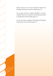Health advocates can be found through the Health and Disability Commissioner (contact details page 77).

You can give positive or negative feedback, or make a complaint about your therapist to their professional board or organisation (contact details page 77).

You can also make a complaint to the Health and Disability Commissioner (contact details page 77).

A GUIDE TO THERAPIES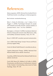# References

*Balance programme*. (2009). Retrieved from Auckland District Health Board website. [www.adhb.govt.nz/balanceprogramme](http://www.adhb.govt.nz/balanceprogramme).

Beck Institute: [www.beckinstitute.org](http://www.beckinstitute.org).

Binks, C., Fenton, M., McCarthy, L., Lee, T., Adams, C.E. & Duggan, C. (2006). Psychological therapies for people with borderline personality disorder. *Cochrane Database of Systematic Reviews* , Issue 1. Art. No.: CD005652.

[Brassington, J.](http://www.ncbi.nlm.nih.gov/sites/entrez?Db=pubmed&Cmd=Search&Term=%22Brassington J%22%5BAuthor%5D&itool=EntrezSystem2.PEntrez.Pubmed.Pubmed_ResultsPanel.Pubmed_DiscoveryPanel.Pubmed_RVAbstractPlus), & [Krawitz, R](http://www.ncbi.nlm.nih.gov/sites/entrez?Db=pubmed&Cmd=Search&Term=%22Krawitz R%22%5BAuthor%5D&itool=EntrezSystem2.PEntrez.Pubmed.Pubmed_ResultsPanel.Pubmed_DiscoveryPanel.Pubmed_RVAbstractPlus). (2006). Australasian dialectical behaviour therapy pilot outcome study: Effectiveness, utility and feasibility. *[Australasian Psychiatry](file:///F:/Communication%20Team/-%20DESIGN/TE%20POU/Folders-brochures/090721%20TP%20Talking%20therapies%20service%20user%20guide/javascript:AL_get(this, )*, 14(3), 313–319.

Bruce, H. 2009. MST consultant: personal communication.

Carr, A. 2006. *Family Therapy: Concepts, Processes and Practice* (2nd ed). England: Wiley.

Centre for Mental Health Research: www.ehub.anu.edu.au.

*Cognitive Behaviourial Therapy*. (2009). Retrieved from National Health Service website: [www.nhs.uk.](http://www.nhs.uk)

*Counselling*. (2009). Retrieved from National Health Service website: [www.nhs.uk.](http://www.nhs.uk)

[Curtis, N.M.](http://www.ncbi.nlm.nih.gov/sites/entrez?Db=pubmed&Cmd=Search&Term=%22Curtis NM%22%5BAuthor%5D&itool=EntrezSystem2.PEntrez.Pubmed.Pubmed_ResultsPanel.Pubmed_DiscoveryPanel.Pubmed_RVAbstractPlus), [Ronan, K.R](http://www.ncbi.nlm.nih.gov/sites/entrez?Db=pubmed&Cmd=Search&Term=%22Ronan KR%22%5BAuthor%5D&itool=EntrezSystem2.PEntrez.Pubmed.Pubmed_ResultsPanel.Pubmed_DiscoveryPanel.Pubmed_RVAbstractPlus)., [Heiblum, N](http://www.ncbi.nlm.nih.gov/sites/entrez?Db=pubmed&Cmd=Search&Term=%22Heiblum N%22%5BAuthor%5D&itool=EntrezSystem2.PEntrez.Pubmed.Pubmed_ResultsPanel.Pubmed_DiscoveryPanel.Pubmed_RVAbstractPlus)., & [Crellin, K](http://www.ncbi.nlm.nih.gov/sites/entrez?Db=pubmed&Cmd=Search&Term=%22Crellin K%22%5BAuthor%5D&itool=EntrezSystem2.PEntrez.Pubmed.Pubmed_ResultsPanel.Pubmed_DiscoveryPanel.Pubmed_RVAbstractPlus). (2009). Dissemination and effectiveness of multisystemic treatment in New Zealand: A benchmarking study. *[Journal of Family](file:///F:/Communication%20Team/-%20DESIGN/TE%20POU/Folders-brochures/090721%20TP%20Talking%20therapies%20service%20user%20guide/javascript:AL_get(this, ) [Psychology](file:///F:/Communication%20Team/-%20DESIGN/TE%20POU/Folders-brochures/090721%20TP%20Talking%20therapies%20service%20user%20guide/javascript:AL_get(this, )*, 23(2), 119–129.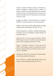[Forbes, D](http://www.ncbi.nlm.nih.gov/sites/entrez?Db=pubmed&Cmd=Search&Term=%22Forbes D%22%5BAuthor%5D&itool=EntrezSystem2.PEntrez.Pubmed.Pubmed_ResultsPanel.Pubmed_DiscoveryPanel.Pubmed_RVAbstractPlus)., [Creamer, M](http://www.ncbi.nlm.nih.gov/sites/entrez?Db=pubmed&Cmd=Search&Term=%22Creamer M%22%5BAuthor%5D&itool=EntrezSystem2.PEntrez.Pubmed.Pubmed_ResultsPanel.Pubmed_DiscoveryPanel.Pubmed_RVAbstractPlus)., [Phelps, A](http://www.ncbi.nlm.nih.gov/sites/entrez?Db=pubmed&Cmd=Search&Term=%22Phelps A%22%5BAuthor%5D&itool=EntrezSystem2.PEntrez.Pubmed.Pubmed_ResultsPanel.Pubmed_DiscoveryPanel.Pubmed_RVAbstractPlus)., [Bryant, R](http://www.ncbi.nlm.nih.gov/sites/entrez?Db=pubmed&Cmd=Search&Term=%22Bryant R%22%5BAuthor%5D&itool=EntrezSystem2.PEntrez.Pubmed.Pubmed_ResultsPanel.Pubmed_DiscoveryPanel.Pubmed_RVAbstractPlus)., [McFarlane, A.](http://www.ncbi.nlm.nih.gov/sites/entrez?Db=pubmed&Cmd=Search&Term=%22McFarlane A%22%5BAuthor%5D&itool=EntrezSystem2.PEntrez.Pubmed.Pubmed_ResultsPanel.Pubmed_DiscoveryPanel.Pubmed_RVAbstractPlus), [Devilly, G.J.](http://www.ncbi.nlm.nih.gov/sites/entrez?Db=pubmed&Cmd=Search&Term=%22Devilly GJ%22%5BAuthor%5D&itool=EntrezSystem2.PEntrez.Pubmed.Pubmed_ResultsPanel.Pubmed_DiscoveryPanel.Pubmed_RVAbstractPlus), [Matthews, L.](http://www.ncbi.nlm.nih.gov/sites/entrez?Db=pubmed&Cmd=Search&Term=%22Matthews L%22%5BAuthor%5D&itool=EntrezSystem2.PEntrez.Pubmed.Pubmed_ResultsPanel.Pubmed_DiscoveryPanel.Pubmed_RVAbstractPlus), [Raphael, B](http://www.ncbi.nlm.nih.gov/sites/entrez?Db=pubmed&Cmd=Search&Term=%22Raphael B%22%5BAuthor%5D&itool=EntrezSystem2.PEntrez.Pubmed.Pubmed_ResultsPanel.Pubmed_DiscoveryPanel.Pubmed_RVAbstractPlus)., [Doran, C.](http://www.ncbi.nlm.nih.gov/sites/entrez?Db=pubmed&Cmd=Search&Term=%22Doran C%22%5BAuthor%5D&itool=EntrezSystem2.PEntrez.Pubmed.Pubmed_ResultsPanel.Pubmed_DiscoveryPanel.Pubmed_RVAbstractPlus), [Merlin, T](http://www.ncbi.nlm.nih.gov/sites/entrez?Db=pubmed&Cmd=Search&Term=%22Merlin T%22%5BAuthor%5D&itool=EntrezSystem2.PEntrez.Pubmed.Pubmed_ResultsPanel.Pubmed_DiscoveryPanel.Pubmed_RVAbstractPlus)., & [Newton, S.](http://www.ncbi.nlm.nih.gov/sites/entrez?Db=pubmed&Cmd=Search&Term=%22Newton S%22%5BAuthor%5D&itool=EntrezSystem2.PEntrez.Pubmed.Pubmed_ResultsPanel.Pubmed_DiscoveryPanel.Pubmed_RVAbstractPlus) (2007). Australian guidelines for the treatment of adults with acute stress disorder and post-traumatic stress disorder. *[Australian and New Zealand Journal of Psychiatry](file:///F:/Communication%20Team/-%20DESIGN/TE%20POU/Folders-brochures/090721%20TP%20Talking%20therapies%20service%20user%20guide/javascript:AL_get(this, )*, 41(8), 637–648

Froggatt, W. (2006). A Brief Introduction to Cognitive Behaviour Therapy. Retrieved from: www.rational.org.nz.

Gregory, K. and Vessey, J. (2004). Bibliotherapy: A strategy to help students with bullying. *J Sch Nurs*, 20, 127

Hay, P.P.J., Bacaltchuk, J., & Stefano, S. (2009). Psychotherapy for bulimia nervosa and binging. *Cochrane Database of Systematic Reviews* , 3.

Heath, M., Sheen, D., Leavy, D., Young, E. & Money, K. (2005). Bibliotherapy: A resource to facilitate emotional healing and growth. *School Psychology International*, 26, 563.

Hunot, V., Churchill, R., Teixeira, V., & Silva de Lima, M. (2007). Psychological therapies for generalised anxiety disorder. *Cochrane Database of Systematic Reviews*, Issue 1. Art. No.: CD001848.

International Society for Interpersonal Psychotherapy: [www.interpersonalpsychotherapy.org.](http://www.interpersonalpsychotherapy.org)

Jack, S. & Ronan, K. (2008). Bibliotherapy: Practice and research. *School Psychology International*, 29, 161.

A GUIDE TO THERAPIES

page 80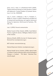James, A.A.C.J., Soler, A., & Weatherall, R.R.W. (2009). Cognitive behavioural therapy for anxiety disorders in children and adolescents. *Cochrane Database of Systematic Reviews*, Issue 4. Art. No.: CD004690.

Luty, S., Carter, J., McKenzie, J., Rae, A., Frampton, C., Mulder, R., & Joyce, P. (2007). Randomised controlled trial of interpersonal psychotherapy and cognitive behavioural therapy for depression. *British Journal of Psychiatry*, 190, 496–502.

Luty, S. (2009). Personal communication.

Medical Council of New Zealand. (2008). Good Medical Practice: A guide for doctors. Wellington, Medical Council of New Zealand.

Ministry of Health. (2009). *Fact sheet 16: Treatment options*. Retrieved from [www.depression.org.nz](http://www.depression.org.nz)

MST Institute: [www.mstinstitute.org.](http://www.mstinstitute.org)

National Depression Initiative: www.depression.org.nz.

National Health Service Scotland. (2008). *Mental Health in Scotland: A Guide to delivering evidence-based Psychological Therapies in Scotland - "The Matrix"*. Retrieved from [www.nhs.org.uk.](http://www.nhs.org.uk)

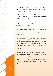National Institute for Health and Clinical Excellence. (2005). Obsessive compulsive disorders: clinical guidelines. Retrieved from [www.nice.org.uk/guidance](http://www.nice.org.uk/guidance).

National Institute for Health and Clinical Excellence. (2007a). *Depression: clinical guidelines*. Retrieved from [www.nice.org.uk/guidance](http://www.nice.org.uk/guidance).

National Institute for Health and Clinical Excellence. (2007b). Anxiety: clinical guidelines. Retrieved from [www.nice.org.uk/guidanc](http://www.nice.org.uk/guidance)e.

New Zealand Association of Counsellors: [www.nzac.org.nz.](http://www.nzac.org.nz)

New Zealand Association of Psychotherapists: [www.nzap.org.nz](http://www.nzap.org.nz).

New Zealand Guidelines Group. (2008). *Talking Therapies: A brief review of recent literature on the evidence of the use of cognitive behaviour therapy, dialectical behaviour therapy and motivational interviewing; on cultural issues in therapies and on the therapeutic alliance*. Auckland: Te Pou o Te Whakaaro Nui: The National Centre of Mental Health Research and Workforce Development.

Pehrsson, D., Allen, B., Folger, A., McMillen, P. & Lowe, I. (2007). Bibliotherapy with pre-adolescents experiencing divorce. *The Family Journal*, 15, 409.

Pierce, D., & Gunn, J. (2007). Using problem solving therapy in general practice. *Australian Family Physician*, 36(3), 230– 233.

A GUIDE TO THERAPIES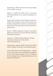*Psychotherapy*. (2009). Retrieved from National Health Service website: [www.nhs.uk.](http://www.nhs.uk)

Rollnick, S., & Miller, W.R. (1995). What is motivational interviewing? *Behavioural and Cognitive Psychotherapy*, 23, 325–334.

Royal Australia and New Zealand College of Psychiatrists. (2005) Clinical Guidelines on Bipolar, Self-harming, Panic Disorder and Agoraphobia, Depression and Schizophrenia. Retrieved from: www.ranzcp.org/resources/clinical-practiceguidelines.html.

Russell, C. (2008). *Multisystemic Therapy in New Zealand: Effectiveness and predictors of outcome*. PhD thesis. Palmerston North: Massey University.

Sanderson, C. (2008). Dialectical Behaviour Therapy: Frequently asked questions. Retrieved from <http://behavioraltech.org>.

*Talking therapies explained*. (2009). Retrieved from Mental Health Foundation UK website: [www.mentalhealth.org.uk](http://www.mentalhealth.org.uk).

Te Pou. (2007). *We Need to Talk: Talking therapies – a snapshot of issues and activities across mental health and addiction services in New Zealand*. Auckland: Te Pou o Te Whakaaro Nui: The National Centre of Mental Health Research and Workforce Development.

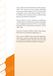Te Pou. (2009). *Action Plan for We Need To Act Talking Therapies 2008 –2011: Processes to increase quality, sustainability and spread of talking therapies for users of mental health and addiction services in New Zealand*. Auckland: Te Pou o Te Whakaaro Nui: The National Centre of Mental Health Research and Workforce Development.

[Titov, N.](http://www.ncbi.nlm.nih.gov/sites/entrez?Db=pubmed&Cmd=Search&Term=%22Titov N%22%5BAuthor%5D&itool=EntrezSystem2.PEntrez.Pubmed.Pubmed_ResultsPanel.Pubmed_DiscoveryPanel.Pubmed_RVAbstractPlus), [Andrews, G](http://www.ncbi.nlm.nih.gov/sites/entrez?Db=pubmed&Cmd=Search&Term=%22Andrews G%22%5BAuthor%5D&itool=EntrezSystem2.PEntrez.Pubmed.Pubmed_ResultsPanel.Pubmed_DiscoveryPanel.Pubmed_RVAbstractPlus)., [Choi, I](http://www.ncbi.nlm.nih.gov/sites/entrez?Db=pubmed&Cmd=Search&Term=%22Choi I%22%5BAuthor%5D&itool=EntrezSystem2.PEntrez.Pubmed.Pubmed_ResultsPanel.Pubmed_DiscoveryPanel.Pubmed_RVAbstractPlus)., [Schwencke, G.](http://www.ncbi.nlm.nih.gov/sites/entrez?Db=pubmed&Cmd=Search&Term=%22Schwencke G%22%5BAuthor%5D&itool=EntrezSystem2.PEntrez.Pubmed.Pubmed_ResultsPanel.Pubmed_DiscoveryPanel.Pubmed_RVAbstractPlus) and [Mahoney,](http://www.ncbi.nlm.nih.gov/sites/entrez?Db=pubmed&Cmd=Search&Term=%22Mahoney A%22%5BAuthor%5D&itool=EntrezSystem2.PEntrez.Pubmed.Pubmed_ResultsPanel.Pubmed_DiscoveryPanel.Pubmed_RVAbstractPlus)  [A](http://www.ncbi.nlm.nih.gov/sites/entrez?Db=pubmed&Cmd=Search&Term=%22Mahoney A%22%5BAuthor%5D&itool=EntrezSystem2.PEntrez.Pubmed.Pubmed_ResultsPanel.Pubmed_DiscoveryPanel.Pubmed_RVAbstractPlus). (2008). Shyness 3: Randomized controlled trial of guided versus unguided internet-based CBT for social phobia. *[Australian and New Zealand Journal of Psychiatry](file:///F:/Communication%20Team/-%20DESIGN/TE%20POU/Folders-brochures/090721%20TP%20Talking%20therapies%20service%20user%20guide/javascript:AL_get(this, )*, 42(12), 1030–1040.

University of Auckland. (2009). *Problem solving therapy*. Retrieved from [www.problemsolvingtherapy.ac.nz](http://www.problemsolvingtherapy.ac.nz)

Werry Centre. (2008). *Evidence-Based Age-Appropriate Interventions: A guide for child and adolescent mental health services (CAMHS)*. Auckland: The Werry Centre for Child and Adolescent Mental Health Workforce Development.

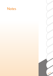## **Notes**

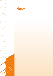